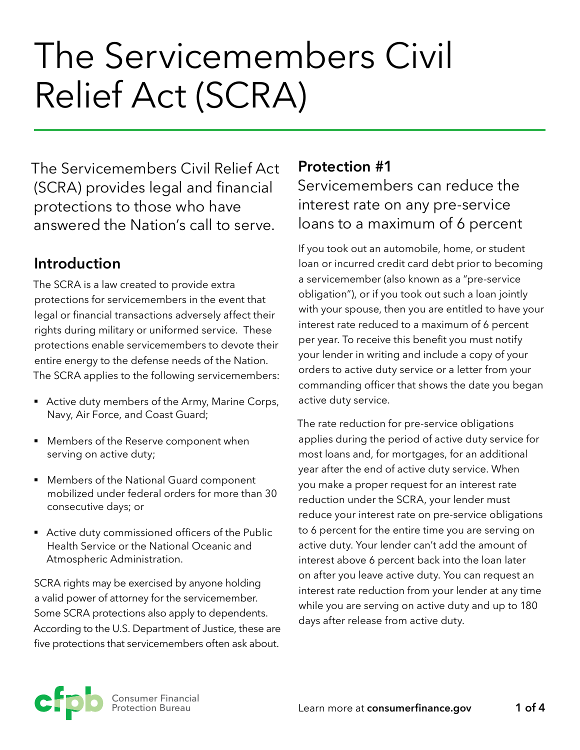# The Servicemembers Civil Relief Act (SCRA)

The Servicemembers Civil Relief Act (SCRA) provides legal and financial protections to those who have answered the Nation's call to serve.

# **Introduction**

The SCRA is a law created to provide extra protections for servicemembers in the event that legal or financial transactions adversely affect their rights during military or uniformed service. These protections enable servicemembers to devote their entire energy to the defense needs of the Nation. The SCRA applies to the following servicemembers:

- Active duty members of the Army, Marine Corps, Navy, Air Force, and Coast Guard;
- Members of the Reserve component when serving on active duty;
- Members of the National Guard component mobilized under federal orders for more than 30 consecutive days; or
- Active duty commissioned officers of the Public Health Service or the National Oceanic and Atmospheric Administration.

SCRA rights may be exercised by anyone holding a valid power of attorney for the servicemember. Some SCRA protections also apply to dependents. According to the U.S. Department of Justice, these are five protections that servicemembers often ask about.

#### **Protection #1**

Servicemembers can reduce the interest rate on any pre-service loans to a maximum of 6 percent

If you took out an automobile, home, or student loan or incurred credit card debt prior to becoming a servicemember (also known as a "pre-service obligation"), or if you took out such a loan jointly with your spouse, then you are entitled to have your interest rate reduced to a maximum of 6 percent per year. To receive this benefit you must notify your lender in writing and include a copy of your orders to active duty service or a letter from your commanding officer that shows the date you began active duty service.

The rate reduction for pre-service obligations applies during the period of active duty service for most loans and, for mortgages, for an additional year after the end of active duty service. When you make a proper request for an interest rate reduction under the SCRA, your lender must reduce your interest rate on pre-service obligations to 6 percent for the entire time you are serving on active duty. Your lender can't add the amount of interest above 6 percent back into the loan later on after you leave active duty. You can request an interest rate reduction from your lender at any time while you are serving on active duty and up to 180 days after release from active duty.

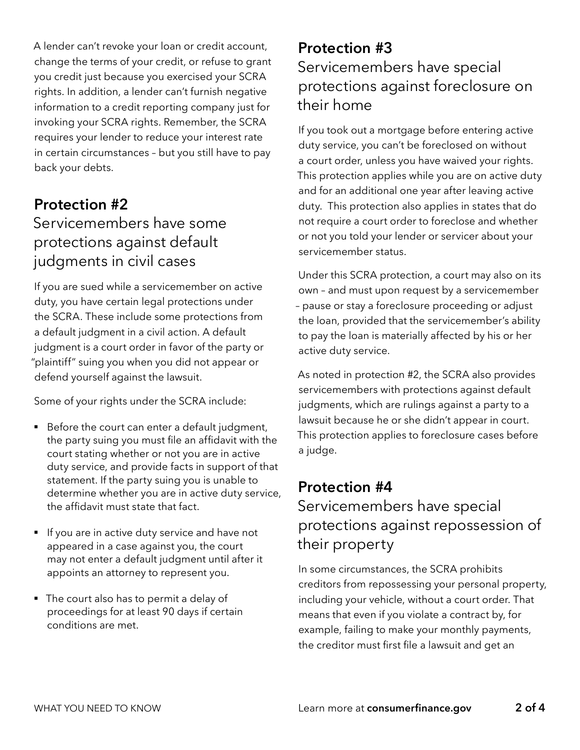A lender can't revoke your loan or credit account, change the terms of your credit, or refuse to grant you credit just because you exercised your SCRA rights. In addition, a lender can't furnish negative information to a credit reporting company just for invoking your SCRA rights. Remember, the SCRA requires your lender to reduce your interest rate in certain circumstances – but you still have to pay back your debts.

#### **Protection #2**

## Servicemembers have some protections against default judgments in civil cases

If you are sued while a servicemember on active duty, you have certain legal protections under the SCRA. These include some protections from a default judgment in a civil action. A default judgment is a court order in favor of the party or "plaintiff" suing you when you did not appear or defend yourself against the lawsuit.

Some of your rights under the SCRA include:

- Before the court can enter a default judgment, the party suing you must file an affidavit with the court stating whether or not you are in active duty service, and provide facts in support of that statement. If the party suing you is unable to determine whether you are in active duty service, the affidavit must state that fact.
- If you are in active duty service and have not appeared in a case against you, the court may not enter a default judgment until after it appoints an attorney to represent you.
- § The court also has to permit a delay of proceedings for at least 90 days if certain conditions are met.

# **Protection #3**  Servicemembers have special protections against foreclosure on their home

If you took out a mortgage before entering active duty service, you can't be foreclosed on without a court order, unless you have waived your rights. This protection applies while you are on active duty and for an additional one year after leaving active duty. This protection also applies in states that do not require a court order to foreclose and whether or not you told your lender or servicer about your servicemember status.

Under this SCRA protection, a court may also on its own – and must upon request by a servicemember – pause or stay a foreclosure proceeding or adjust the loan, provided that the servicemember's ability to pay the loan is materially affected by his or her active duty service.

As noted in protection #2, the SCRA also provides servicemembers with protections against default judgments, which are rulings against a party to a lawsuit because he or she didn't appear in court. This protection applies to foreclosure cases before a judge.

## **Protection #4**

Servicemembers have special protections against repossession of their property

In some circumstances, the SCRA prohibits creditors from repossessing your personal property, including your vehicle, without a court order. That means that even if you violate a contract by, for example, failing to make your monthly payments, the creditor must first file a lawsuit and get an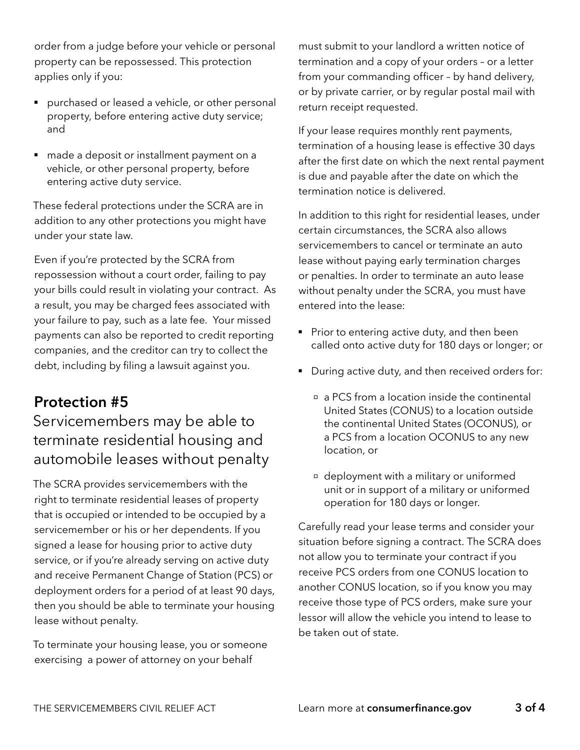order from a judge before your vehicle or personal property can be repossessed. This protection applies only if you:

- purchased or leased a vehicle, or other personal property, before entering active duty service; and
- made a deposit or installment payment on a vehicle, or other personal property, before entering active duty service.

These federal protections under the SCRA are in addition to any other protections you might have under your state law.

Even if you're protected by the SCRA from repossession without a court order, failing to pay your bills could result in violating your contract. As a result, you may be charged fees associated with your failure to pay, such as a late fee. Your missed payments can also be reported to credit reporting companies, and the creditor can try to collect the debt, including by filing a lawsuit against you.

# **Protection #5**

# Servicemembers may be able to terminate residential housing and automobile leases without penalty

The SCRA provides servicemembers with the right to terminate residential leases of property that is occupied or intended to be occupied by a servicemember or his or her dependents. If you signed a lease for housing prior to active duty service, or if you're already serving on active duty and receive Permanent Change of Station (PCS) or deployment orders for a period of at least 90 days, then you should be able to terminate your housing lease without penalty.

To terminate your housing lease, you or someone exercising a power of attorney on your behalf

must submit to your landlord a written notice of termination and a copy of your orders – or a letter from your commanding officer – by hand delivery, or by private carrier, or by regular postal mail with return receipt requested.

If your lease requires monthly rent payments, termination of a housing lease is effective 30 days after the first date on which the next rental payment is due and payable after the date on which the termination notice is delivered.

In addition to this right for residential leases, under certain circumstances, the SCRA also allows servicemembers to cancel or terminate an auto lease without paying early termination charges or penalties. In order to terminate an auto lease without penalty under the SCRA, you must have entered into the lease:

- Prior to entering active duty, and then been called onto active duty for 180 days or longer; or
- During active duty, and then received orders for:
	- a PCS from a location inside the continental United States (CONUS) to a location outside the continental United States (OCONUS), or a PCS from a location OCONUS to any new location, or
	- deployment with a military or uniformed unit or in support of a military or uniformed operation for 180 days or longer.

Carefully read your lease terms and consider your situation before signing a contract. The SCRA does not allow you to terminate your contract if you receive PCS orders from one CONUS location to another CONUS location, so if you know you may receive those type of PCS orders, make sure your lessor will allow the vehicle you intend to lease to be taken out of state.